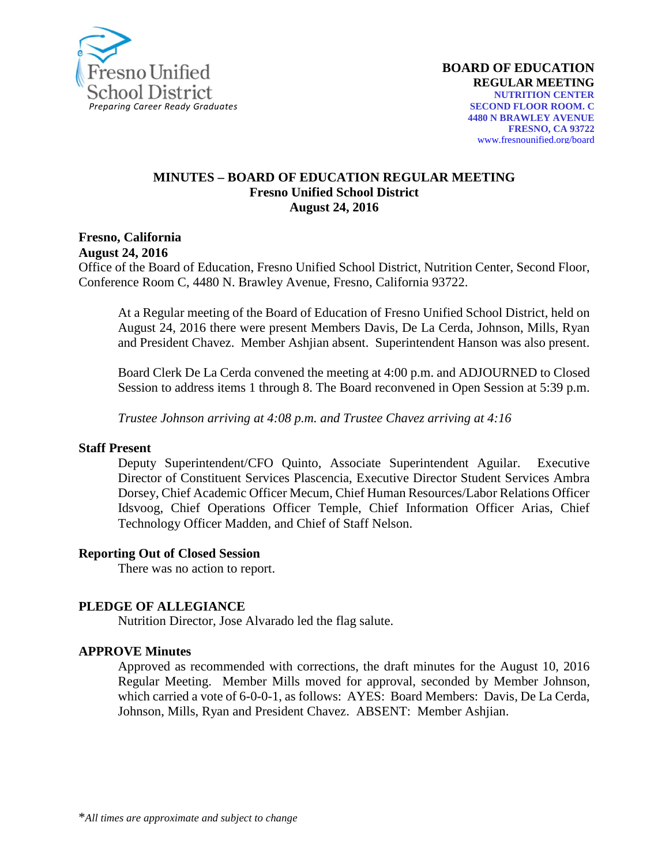

#### **MINUTES – BOARD OF EDUCATION REGULAR MEETING Fresno Unified School District August 24, 2016**

**Fresno, California**

**August 24, 2016**

Office of the Board of Education, Fresno Unified School District, Nutrition Center, Second Floor, Conference Room C, 4480 N. Brawley Avenue, Fresno, California 93722.

At a Regular meeting of the Board of Education of Fresno Unified School District, held on August 24, 2016 there were present Members Davis, De La Cerda, Johnson, Mills, Ryan and President Chavez. Member Ashjian absent. Superintendent Hanson was also present.

Board Clerk De La Cerda convened the meeting at 4:00 p.m. and ADJOURNED to Closed Session to address items 1 through 8. The Board reconvened in Open Session at 5:39 p.m.

*Trustee Johnson arriving at 4:08 p.m. and Trustee Chavez arriving at 4:16*

#### **Staff Present**

Deputy Superintendent/CFO Quinto, Associate Superintendent Aguilar. Executive Director of Constituent Services Plascencia, Executive Director Student Services Ambra Dorsey, Chief Academic Officer Mecum, Chief Human Resources/Labor Relations Officer Idsvoog, Chief Operations Officer Temple, Chief Information Officer Arias, Chief Technology Officer Madden, and Chief of Staff Nelson.

#### **Reporting Out of Closed Session**

There was no action to report.

#### **PLEDGE OF ALLEGIANCE**

Nutrition Director, Jose Alvarado led the flag salute.

#### **APPROVE Minutes**

Approved as recommended with corrections, the draft minutes for the August 10, 2016 Regular Meeting. Member Mills moved for approval, seconded by Member Johnson, which carried a vote of 6-0-0-1, as follows: AYES: Board Members: Davis, De La Cerda, Johnson, Mills, Ryan and President Chavez. ABSENT: Member Ashjian.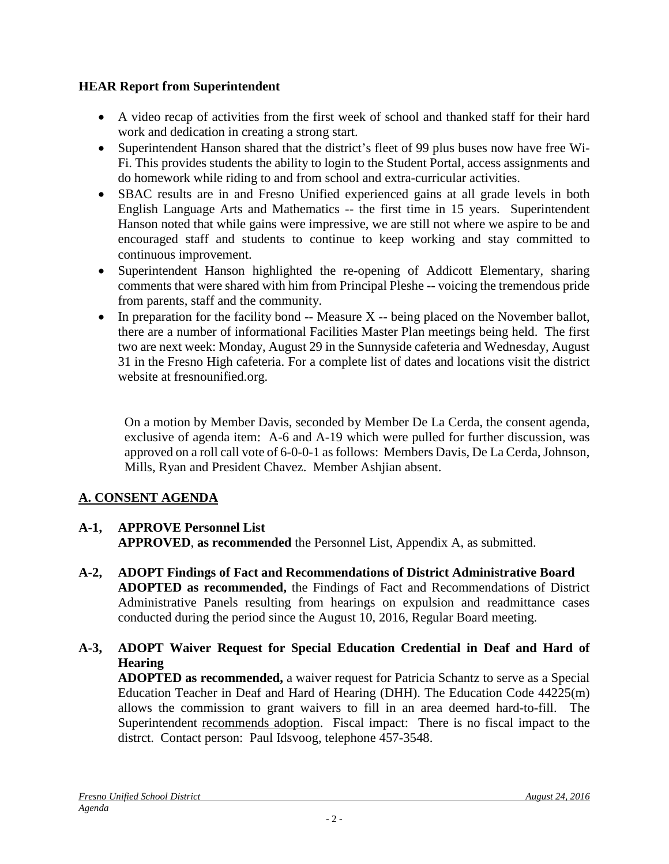## **HEAR Report from Superintendent**

- A [video](https://vimeo.com/179067235) recap of activities from the first week of school and thanked staff for their hard work and dedication in creating a strong start.
- Superintendent Hanson shared that the district's fleet of 99 plus buses now have free Wi-Fi. This provides students the ability to login to the Student Portal, access assignments and do homework while riding to and from school and extra-curricular activities.
- SBAC results are in and Fresno Unified experienced gains at all grade levels in both English Language Arts and Mathematics -- the first time in 15 years. Superintendent Hanson noted that while gains were impressive, we are still not where we aspire to be and encouraged staff and students to continue to keep working and stay committed to continuous improvement.
- Superintendent Hanson highlighted the re-opening of Addicott Elementary, sharing comments that were shared with him from Principal Pleshe -- voicing the tremendous pride from parents, staff and the community.
- In preparation for the facility bond  $-$  Measure X  $-$  being placed on the November ballot, there are a number of informational Facilities Master Plan meetings being held. The first two are next week: Monday, August 29 in the Sunnyside cafeteria and Wednesday, August 31 in the Fresno High cafeteria. For a complete list of dates and locations visit the district website at fresnounified.org.

On a motion by Member Davis, seconded by Member De La Cerda, the consent agenda, exclusive of agenda item: A-6 and A-19 which were pulled for further discussion, was approved on a roll call vote of 6-0-0-1 as follows: Members Davis, De La Cerda, Johnson, Mills, Ryan and President Chavez. Member Ashjian absent.

## **A. CONSENT AGENDA**

#### **A-1, APPROVE Personnel List APPROVED**, **as recommended** the Personnel List, Appendix A, as submitted.

- **A-2, ADOPT Findings of Fact and Recommendations of District Administrative Board ADOPTED as recommended,** the Findings of Fact and Recommendations of District Administrative Panels resulting from hearings on expulsion and readmittance cases conducted during the period since the August 10, 2016, Regular Board meeting.
- **A-3, ADOPT Waiver Request for Special Education Credential in Deaf and Hard of Hearing**

**ADOPTED as recommended,** a waiver request for Patricia Schantz to serve as a Special Education Teacher in Deaf and Hard of Hearing (DHH). The Education Code 44225(m) allows the commission to grant waivers to fill in an area deemed hard-to-fill. The Superintendent recommends adoption. Fiscal impact: There is no fiscal impact to the distrct. Contact person: Paul Idsvoog, telephone 457-3548.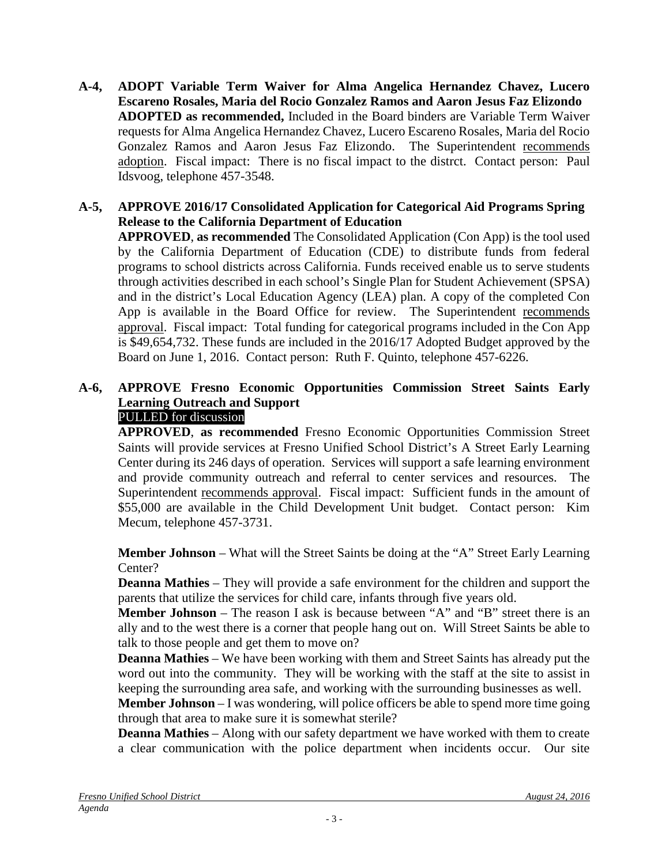**A-4, ADOPT Variable Term Waiver for Alma Angelica Hernandez Chavez, Lucero Escareno Rosales, Maria del Rocio Gonzalez Ramos and Aaron Jesus Faz Elizondo ADOPTED as recommended,** Included in the Board binders are Variable Term Waiver requests for Alma Angelica Hernandez Chavez, Lucero Escareno Rosales, Maria del Rocio Gonzalez Ramos and Aaron Jesus Faz Elizondo. The Superintendent recommends adoption. Fiscal impact: There is no fiscal impact to the distrct. Contact person: Paul Idsvoog, telephone 457-3548.

#### **A-5, APPROVE 2016/17 Consolidated Application for Categorical Aid Programs Spring Release to the California Department of Education**

**APPROVED**, **as recommended** The Consolidated Application (Con App) is the tool used by the California Department of Education (CDE) to distribute funds from federal programs to school districts across California. Funds received enable us to serve students through activities described in each school's Single Plan for Student Achievement (SPSA) and in the district's Local Education Agency (LEA) plan. A copy of the completed Con App is available in the Board Office for review. The Superintendent recommends approval. Fiscal impact: Total funding for categorical programs included in the Con App is \$49,654,732. These funds are included in the 2016/17 Adopted Budget approved by the Board on June 1, 2016. Contact person: Ruth F. Quinto, telephone 457-6226.

## **A-6, APPROVE Fresno Economic Opportunities Commission Street Saints Early Learning Outreach and Support**

# PULLED for discussion

**APPROVED**, **as recommended** Fresno Economic Opportunities Commission Street Saints will provide services at Fresno Unified School District's A Street Early Learning Center during its 246 days of operation. Services will support a safe learning environment and provide community outreach and referral to center services and resources. The Superintendent recommends approval. Fiscal impact: Sufficient funds in the amount of \$55,000 are available in the Child Development Unit budget. Contact person: Kim Mecum, telephone 457-3731.

**Member Johnson** – What will the Street Saints be doing at the "A" Street Early Learning Center?

**Deanna Mathies** – They will provide a safe environment for the children and support the parents that utilize the services for child care, infants through five years old.

**Member Johnson** – The reason I ask is because between "A" and "B" street there is an ally and to the west there is a corner that people hang out on. Will Street Saints be able to talk to those people and get them to move on?

**Deanna Mathies** – We have been working with them and Street Saints has already put the word out into the community. They will be working with the staff at the site to assist in keeping the surrounding area safe, and working with the surrounding businesses as well.

**Member Johnson** – I was wondering, will police officers be able to spend more time going through that area to make sure it is somewhat sterile?

**Deanna Mathies** – Along with our safety department we have worked with them to create a clear communication with the police department when incidents occur. Our site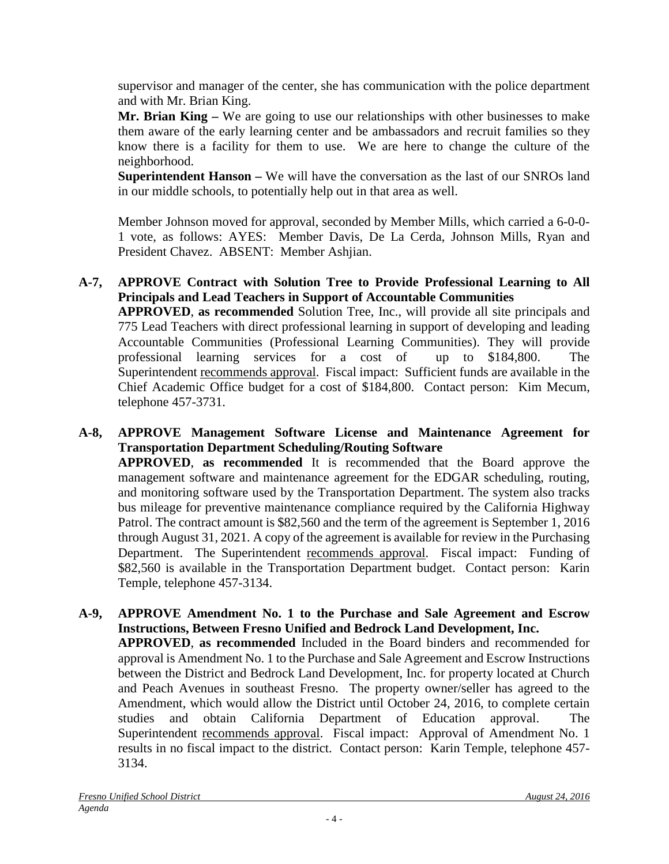supervisor and manager of the center, she has communication with the police department and with Mr. Brian King.

**Mr. Brian King –** We are going to use our relationships with other businesses to make them aware of the early learning center and be ambassadors and recruit families so they know there is a facility for them to use. We are here to change the culture of the neighborhood.

**Superintendent Hanson –** We will have the conversation as the last of our SNROs land in our middle schools, to potentially help out in that area as well.

Member Johnson moved for approval, seconded by Member Mills, which carried a 6-0-0- 1 vote, as follows: AYES: Member Davis, De La Cerda, Johnson Mills, Ryan and President Chavez. ABSENT: Member Ashjian.

#### **A-7, APPROVE Contract with Solution Tree to Provide Professional Learning to All Principals and Lead Teachers in Support of Accountable Communities**

**APPROVED**, **as recommended** Solution Tree, Inc., will provide all site principals and 775 Lead Teachers with direct professional learning in support of developing and leading Accountable Communities (Professional Learning Communities). They will provide professional learning services for a cost of up to \$184,800. The Superintendent recommends approval. Fiscal impact: Sufficient funds are available in the Chief Academic Office budget for a cost of \$184,800. Contact person: Kim Mecum, telephone 457-3731.

**A-8, APPROVE Management Software License and Maintenance Agreement for Transportation Department Scheduling/Routing Software APPROVED**, **as recommended** It is recommended that the Board approve the management software and maintenance agreement for the EDGAR scheduling, routing, and monitoring software used by the Transportation Department. The system also tracks bus mileage for preventive maintenance compliance required by the California Highway Patrol. The contract amount is \$82,560 and the term of the agreement is September 1, 2016 through August 31, 2021. A copy of the agreement is available for review in the Purchasing Department. The Superintendent recommends approval. Fiscal impact: Funding of \$82,560 is available in the Transportation Department budget. Contact person: Karin Temple, telephone 457-3134.

**A-9, APPROVE Amendment No. 1 to the Purchase and Sale Agreement and Escrow Instructions, Between Fresno Unified and Bedrock Land Development, Inc. APPROVED**, **as recommended** Included in the Board binders and recommended for approval is Amendment No. 1 to the Purchase and Sale Agreement and Escrow Instructions between the District and Bedrock Land Development, Inc. for property located at Church and Peach Avenues in southeast Fresno. The property owner/seller has agreed to the Amendment, which would allow the District until October 24, 2016, to complete certain studies and obtain California Department of Education approval. The Superintendent recommends approval. Fiscal impact: Approval of Amendment No. 1 results in no fiscal impact to the district. Contact person: Karin Temple, telephone 457- 3134.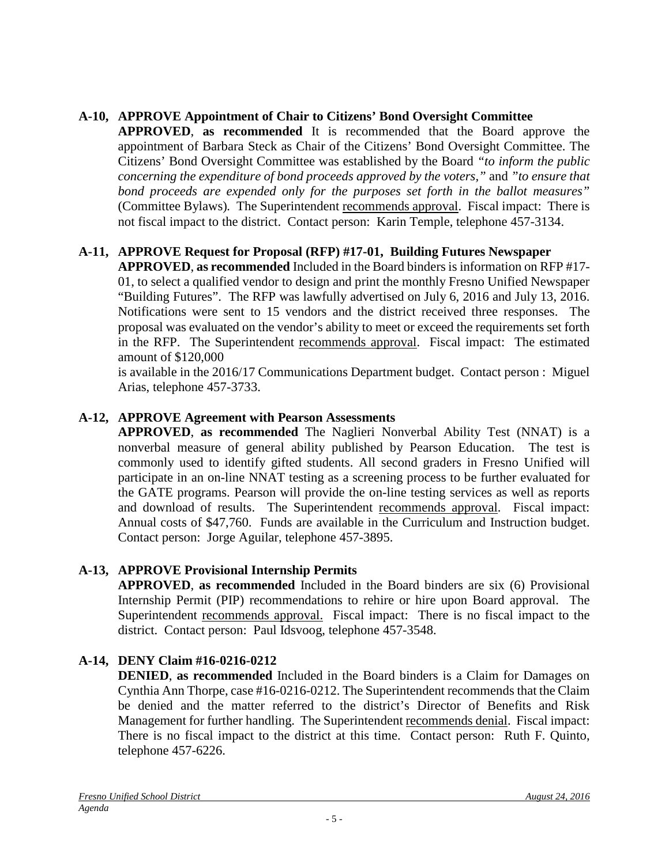## **A-10, APPROVE Appointment of Chair to Citizens' Bond Oversight Committee**

**APPROVED**, **as recommended** It is recommended that the Board approve the appointment of Barbara Steck as Chair of the Citizens' Bond Oversight Committee. The Citizens' Bond Oversight Committee was established by the Board *"to inform the public concerning the expenditure of bond proceeds approved by the voters,"* and *"to ensure that bond proceeds are expended only for the purposes set forth in the ballot measures"*  (Committee Bylaws)*.* The Superintendent recommends approval. Fiscal impact: There is not fiscal impact to the district. Contact person: Karin Temple, telephone 457-3134.

## **A-11, APPROVE Request for Proposal (RFP) #17-01, Building Futures Newspaper**

**APPROVED**, **as recommended** Included in the Board binders is information on RFP #17- 01, to select a qualified vendor to design and print the monthly Fresno Unified Newspaper "Building Futures". The RFP was lawfully advertised on July 6, 2016 and July 13, 2016. Notifications were sent to 15 vendors and the district received three responses. The proposal was evaluated on the vendor's ability to meet or exceed the requirements set forth in the RFP. The Superintendent recommends approval. Fiscal impact: The estimated amount of \$120,000

is available in the 2016/17 Communications Department budget. Contact person : Miguel Arias, telephone 457-3733.

#### **A-12, APPROVE Agreement with Pearson Assessments**

**APPROVED**, **as recommended** The Naglieri Nonverbal Ability Test (NNAT) is a nonverbal measure of general ability published by Pearson Education. The test is commonly used to identify gifted students. All second graders in Fresno Unified will participate in an on-line NNAT testing as a screening process to be further evaluated for the GATE programs. Pearson will provide the on-line testing services as well as reports and download of results. The Superintendent recommends approval. Fiscal impact: Annual costs of \$47,760. Funds are available in the Curriculum and Instruction budget. Contact person: Jorge Aguilar, telephone 457-3895.

#### **A-13, APPROVE Provisional Internship Permits**

**APPROVED**, **as recommended** Included in the Board binders are six (6) Provisional Internship Permit (PIP) recommendations to rehire or hire upon Board approval. The Superintendent recommends approval. Fiscal impact: There is no fiscal impact to the district. Contact person: Paul Idsvoog, telephone 457-3548.

## **A-14, DENY Claim #16-0216-0212**

**DENIED**, **as recommended** Included in the Board binders is a Claim for Damages on Cynthia Ann Thorpe, case #16-0216-0212. The Superintendent recommends that the Claim be denied and the matter referred to the district's Director of Benefits and Risk Management for further handling. The Superintendent recommends denial. Fiscal impact: There is no fiscal impact to the district at this time. Contact person: Ruth F. Quinto, telephone 457-6226.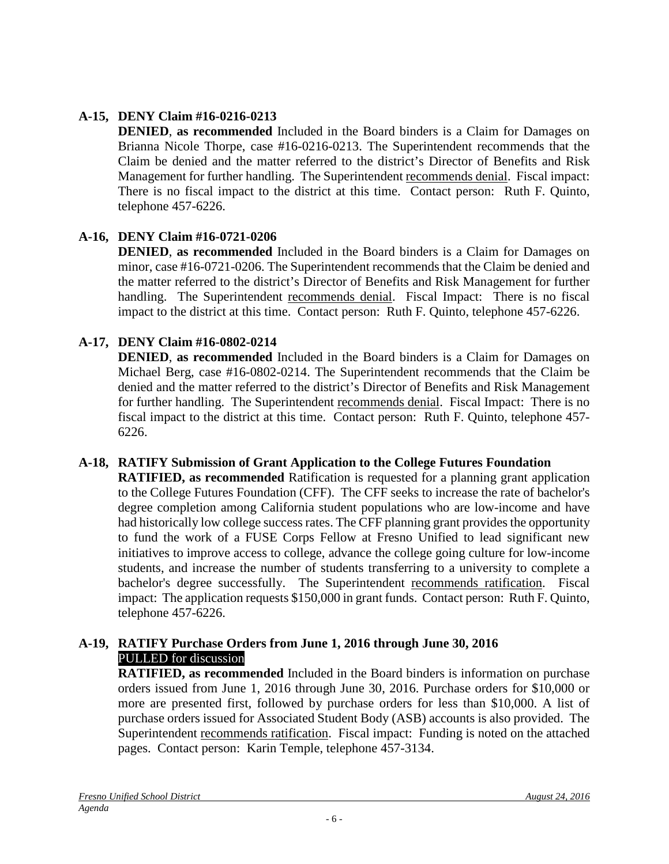## **A-15, DENY Claim #16-0216-0213**

**DENIED**, **as recommended** Included in the Board binders is a Claim for Damages on Brianna Nicole Thorpe, case #16-0216-0213. The Superintendent recommends that the Claim be denied and the matter referred to the district's Director of Benefits and Risk Management for further handling. The Superintendent recommends denial. Fiscal impact: There is no fiscal impact to the district at this time. Contact person: Ruth F. Quinto, telephone 457-6226.

## **A-16, DENY Claim #16-0721-0206**

**DENIED**, **as recommended** Included in the Board binders is a Claim for Damages on minor, case #16-0721-0206. The Superintendent recommends that the Claim be denied and the matter referred to the district's Director of Benefits and Risk Management for further handling. The Superintendent recommends denial. Fiscal Impact: There is no fiscal impact to the district at this time. Contact person: Ruth F. Quinto, telephone 457-6226.

## **A-17, DENY Claim #16-0802-0214**

**DENIED**, **as recommended** Included in the Board binders is a Claim for Damages on Michael Berg, case #16-0802-0214. The Superintendent recommends that the Claim be denied and the matter referred to the district's Director of Benefits and Risk Management for further handling. The Superintendent recommends denial. Fiscal Impact: There is no fiscal impact to the district at this time. Contact person: Ruth F. Quinto, telephone 457- 6226.

#### **A-18, RATIFY Submission of Grant Application to the College Futures Foundation**

**RATIFIED, as recommended** Ratification is requested for a planning grant application to the College Futures Foundation (CFF). The CFF seeks to increase the rate of bachelor's degree completion among California student populations who are low-income and have had historically low college success rates. The CFF planning grant provides the opportunity to fund the work of a FUSE Corps Fellow at Fresno Unified to lead significant new initiatives to improve access to college, advance the college going culture for low-income students, and increase the number of students transferring to a university to complete a bachelor's degree successfully. The Superintendent recommends ratification. Fiscal impact: The application requests \$150,000 in grant funds. Contact person: Ruth F. Quinto, telephone 457-6226.

#### **A-19, RATIFY Purchase Orders from June 1, 2016 through June 30, 2016** PULLED for discussion

**RATIFIED, as recommended** Included in the Board binders is information on purchase orders issued from June 1, 2016 through June 30, 2016. Purchase orders for \$10,000 or more are presented first, followed by purchase orders for less than \$10,000. A list of purchase orders issued for Associated Student Body (ASB) accounts is also provided. The Superintendent recommends ratification. Fiscal impact: Funding is noted on the attached pages. Contact person: Karin Temple, telephone 457-3134.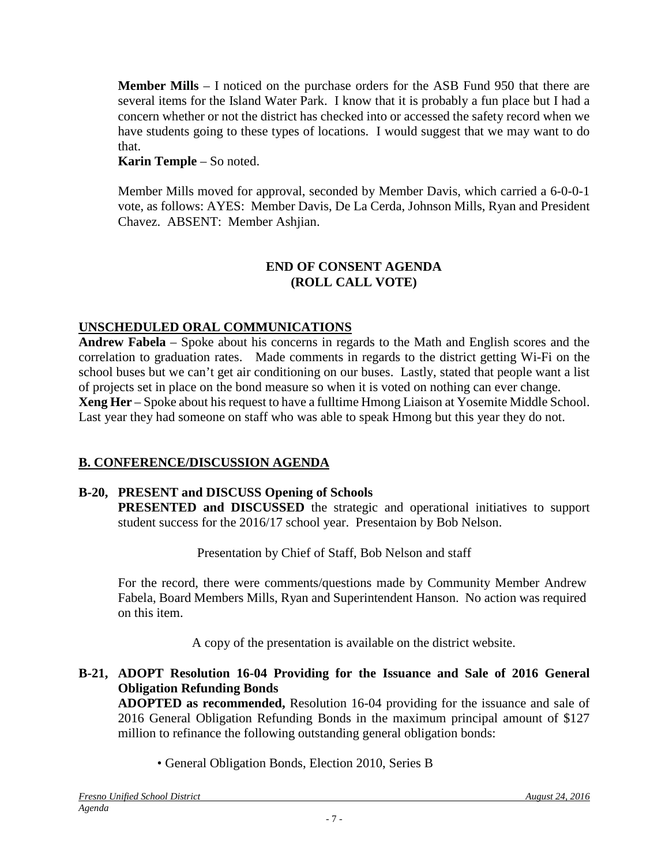**Member Mills** – I noticed on the purchase orders for the ASB Fund 950 that there are several items for the Island Water Park. I know that it is probably a fun place but I had a concern whether or not the district has checked into or accessed the safety record when we have students going to these types of locations. I would suggest that we may want to do that.

**Karin Temple** – So noted.

Member Mills moved for approval, seconded by Member Davis, which carried a 6-0-0-1 vote, as follows: AYES: Member Davis, De La Cerda, Johnson Mills, Ryan and President Chavez. ABSENT: Member Ashjian.

#### **END OF CONSENT AGENDA (ROLL CALL VOTE)**

## **UNSCHEDULED ORAL COMMUNICATIONS**

**Andrew Fabela** – Spoke about his concerns in regards to the Math and English scores and the correlation to graduation rates. Made comments in regards to the district getting Wi-Fi on the school buses but we can't get air conditioning on our buses. Lastly, stated that people want a list of projects set in place on the bond measure so when it is voted on nothing can ever change. **Xeng Her** – Spoke about his request to have a fulltime Hmong Liaison at Yosemite Middle School. Last year they had someone on staff who was able to speak Hmong but this year they do not.

#### **B. CONFERENCE/DISCUSSION AGENDA**

#### **B-20, PRESENT and DISCUSS Opening of Schools**

**PRESENTED and DISCUSSED** the strategic and operational initiatives to support student success for the 2016/17 school year. Presentaion by Bob Nelson.

Presentation by Chief of Staff, Bob Nelson and staff

For the record, there were comments/questions made by Community Member Andrew Fabela, Board Members Mills, Ryan and Superintendent Hanson. No action was required on this item.

A copy of the presentation is available on the district website.

#### **B-21, ADOPT Resolution 16-04 Providing for the Issuance and Sale of 2016 General Obligation Refunding Bonds**

**ADOPTED as recommended,** Resolution 16-04 providing for the issuance and sale of 2016 General Obligation Refunding Bonds in the maximum principal amount of \$127 million to refinance the following outstanding general obligation bonds:

• General Obligation Bonds, Election 2010, Series B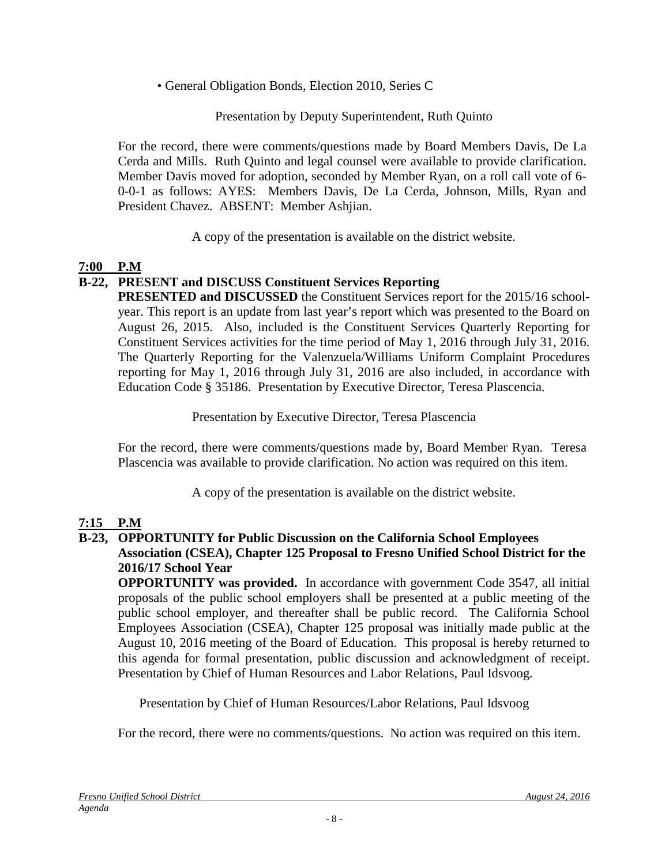• General Obligation Bonds, Election 2010, Series C

#### Presentation by Deputy Superintendent, Ruth Quinto

For the record, there were comments/questions made by Board Members Davis, De La Cerda and Mills. Ruth Quinto and legal counsel were available to provide clarification. Member Davis moved for adoption, seconded by Member Ryan, on a roll call vote of 6- 0-0-1 as follows: AYES: Members Davis, De La Cerda, Johnson, Mills, Ryan and President Chavez. ABSENT: Member Ashjian.

A copy of the presentation is available on the district website.

#### **7:00 P.M**

#### **B-22, PRESENT and DISCUSS Constituent Services Reporting**

**PRESENTED and DISCUSSED** the Constituent Services report for the 2015/16 schoolyear. This report is an update from last year's report which was presented to the Board on August 26, 2015. Also, included is the Constituent Services Quarterly Reporting for Constituent Services activities for the time period of May 1, 2016 through July 31, 2016. The Quarterly Reporting for the Valenzuela/Williams Uniform Complaint Procedures reporting for May 1, 2016 through July 31, 2016 are also included, in accordance with Education Code § 35186. Presentation by Executive Director, Teresa Plascencia.

Presentation by Executive Director, Teresa Plascencia

For the record, there were comments/questions made by, Board Member Ryan. Teresa Plascencia was available to provide clarification. No action was required on this item.

A copy of the presentation is available on the district website.

## **7:15 P.M**

#### **B-23, OPPORTUNITY for Public Discussion on the California School Employees Association (CSEA), Chapter 125 Proposal to Fresno Unified School District for the 2016/17 School Year**

**OPPORTUNITY was provided.** In accordance with government Code 3547, all initial proposals of the public school employers shall be presented at a public meeting of the public school employer, and thereafter shall be public record. The California School Employees Association (CSEA), Chapter 125 proposal was initially made public at the August 10, 2016 meeting of the Board of Education. This proposal is hereby returned to this agenda for formal presentation, public discussion and acknowledgment of receipt. Presentation by Chief of Human Resources and Labor Relations, Paul Idsvoog.

Presentation by Chief of Human Resources/Labor Relations, Paul Idsvoog

For the record, there were no comments/questions. No action was required on this item.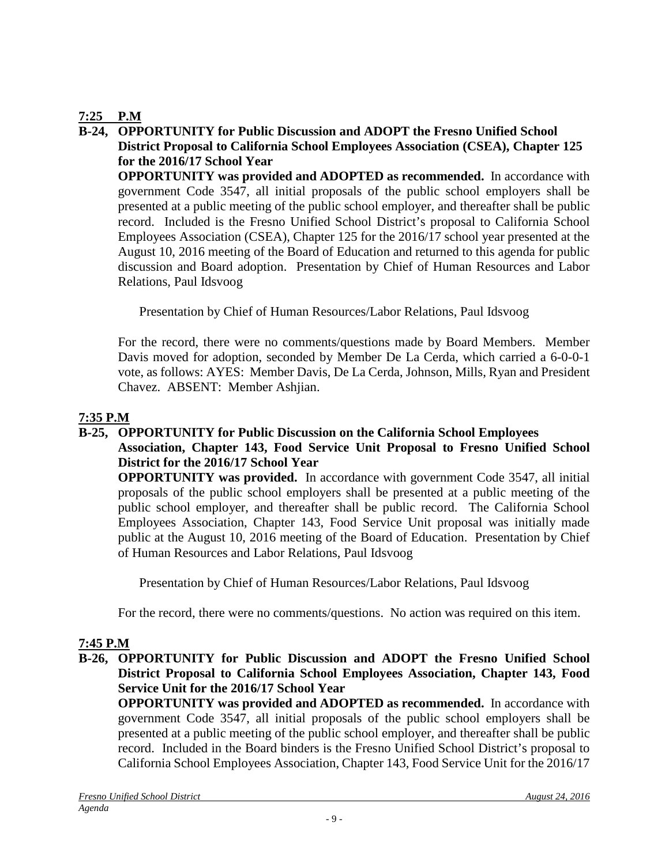#### **7:25 P.M**

#### **B-24, OPPORTUNITY for Public Discussion and ADOPT the Fresno Unified School District Proposal to California School Employees Association (CSEA), Chapter 125 for the 2016/17 School Year**

**OPPORTUNITY was provided and ADOPTED as recommended.** In accordance with government Code 3547, all initial proposals of the public school employers shall be presented at a public meeting of the public school employer, and thereafter shall be public record. Included is the Fresno Unified School District's proposal to California School Employees Association (CSEA), Chapter 125 for the 2016/17 school year presented at the August 10, 2016 meeting of the Board of Education and returned to this agenda for public discussion and Board adoption. Presentation by Chief of Human Resources and Labor Relations, Paul Idsvoog

Presentation by Chief of Human Resources/Labor Relations, Paul Idsvoog

For the record, there were no comments/questions made by Board Members. Member Davis moved for adoption, seconded by Member De La Cerda, which carried a 6-0-0-1 vote, as follows: AYES: Member Davis, De La Cerda, Johnson, Mills, Ryan and President Chavez. ABSENT: Member Ashjian.

#### **7:35 P.M**

## **B-25, OPPORTUNITY for Public Discussion on the California School Employees**

#### **Association, Chapter 143, Food Service Unit Proposal to Fresno Unified School District for the 2016/17 School Year**

**OPPORTUNITY was provided.** In accordance with government Code 3547, all initial proposals of the public school employers shall be presented at a public meeting of the public school employer, and thereafter shall be public record. The California School Employees Association, Chapter 143, Food Service Unit proposal was initially made public at the August 10, 2016 meeting of the Board of Education. Presentation by Chief of Human Resources and Labor Relations, Paul Idsvoog

Presentation by Chief of Human Resources/Labor Relations, Paul Idsvoog

For the record, there were no comments/questions. No action was required on this item.

## **7:45 P.M**

#### **B-26, OPPORTUNITY for Public Discussion and ADOPT the Fresno Unified School District Proposal to California School Employees Association, Chapter 143, Food Service Unit for the 2016/17 School Year**

**OPPORTUNITY was provided and ADOPTED as recommended.** In accordance with government Code 3547, all initial proposals of the public school employers shall be presented at a public meeting of the public school employer, and thereafter shall be public record. Included in the Board binders is the Fresno Unified School District's proposal to California School Employees Association, Chapter 143, Food Service Unit for the 2016/17